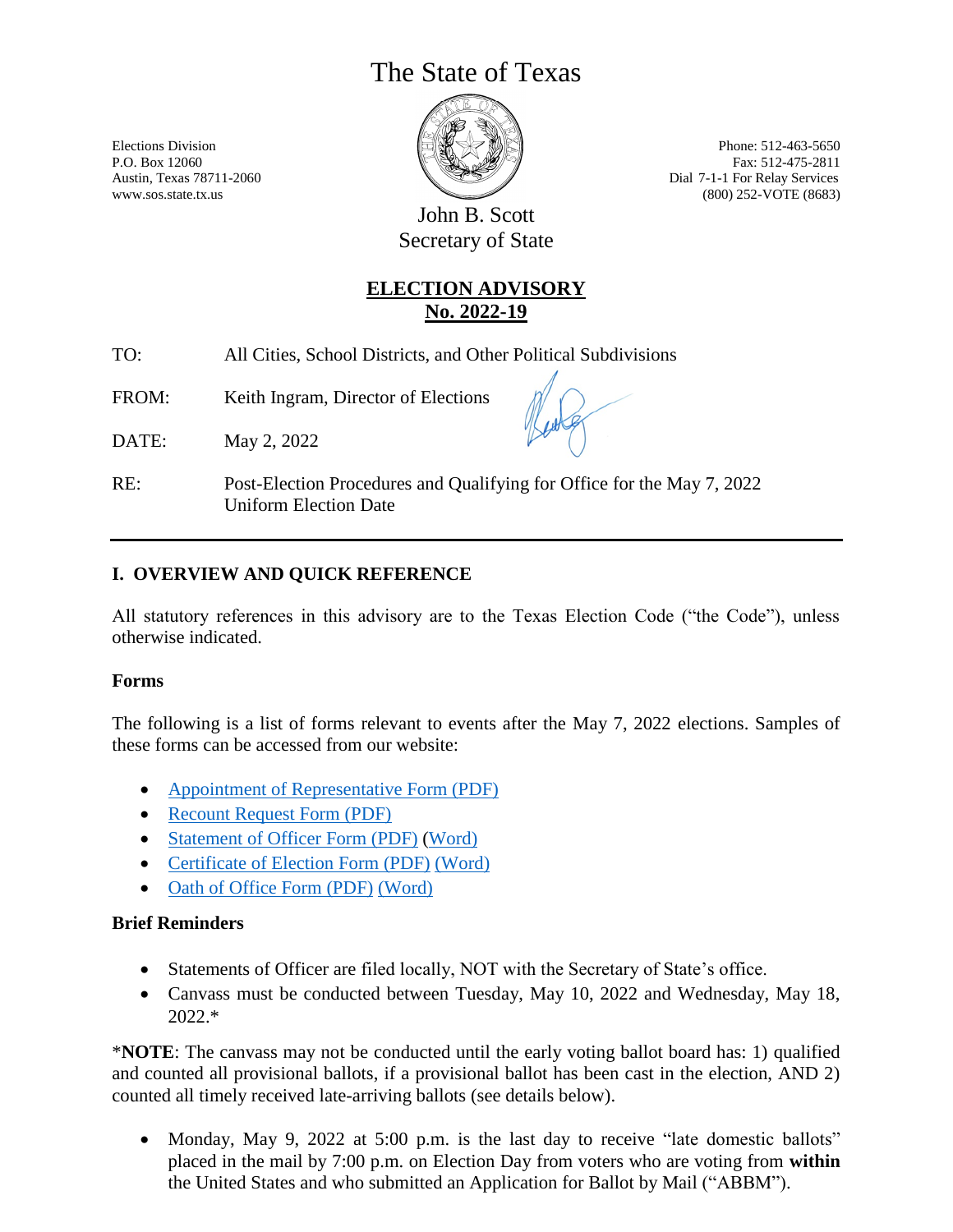# The State of Texas



Elections Division **Elections Elections Phone: 512-463-5650** P.O. Box 12060 Fax: 512-475-2811 Austin, Texas 78711-2060 Dial 7-1-1 For Relay Services www.sos.state.tx.us (800) 252-VOTE (8683)

> John B. Scott Secretary of State

### **ELECTION ADVISORY No. 2022-19**

TO: All Cities, School Districts, and Other Political Subdivisions

FROM: Keith Ingram, Director of Elections

DATE: May 2, 2022

RE: Post-Election Procedures and Qualifying for Office for the May 7, 2022 Uniform Election Date

### **I. OVERVIEW AND QUICK REFERENCE**

All statutory references in this advisory are to the Texas Election Code ("the Code"), unless otherwise indicated.

#### **Forms**

The following is a list of forms relevant to events after the May 7, 2022 elections. Samples of these forms can be accessed from our website:

- [Appointment of Representative Form \(PDF\)](https://www.sos.state.tx.us/elections/forms/pol-sub/14-2f.pdf)
- [Recount Request Form \(PDF\)](https://www.sos.texas.gov/elections/forms/pol-sub/14-1f.pdf)
- [Statement of Officer Form \(PDF\)](http://www.sos.state.tx.us/statdoc/forms/2201.pdf) [\(Word\)](http://www.sos.texas.gov/statdoc/forms/2201.doc)
- [Certificate of Election Form \(PDF\)](https://www.sos.texas.gov/elections/forms/pol-sub/10-1f.pdf) [\(Word\)](http://www.sos.texas.gov/elections/forms/pol-sub/10-1f.doc)
- [Oath of Office Form \(PDF\)](http://www.sos.state.tx.us/statdoc/forms/2204.pdf) [\(Word\)](http://www.sos.texas.gov/statdoc/forms/2204.doc)

#### **Brief Reminders**

- Statements of Officer are filed locally, NOT with the Secretary of State's office.
- Canvass must be conducted between Tuesday, May 10, 2022 and Wednesday, May 18, 2022.\*

\***NOTE**: The canvass may not be conducted until the early voting ballot board has: 1) qualified and counted all provisional ballots, if a provisional ballot has been cast in the election, AND 2) counted all timely received late-arriving ballots (see details below).

• Monday, May 9, 2022 at 5:00 p.m. is the last day to receive "late domestic ballots" placed in the mail by 7:00 p.m. on Election Day from voters who are voting from **within** the United States and who submitted an Application for Ballot by Mail ("ABBM").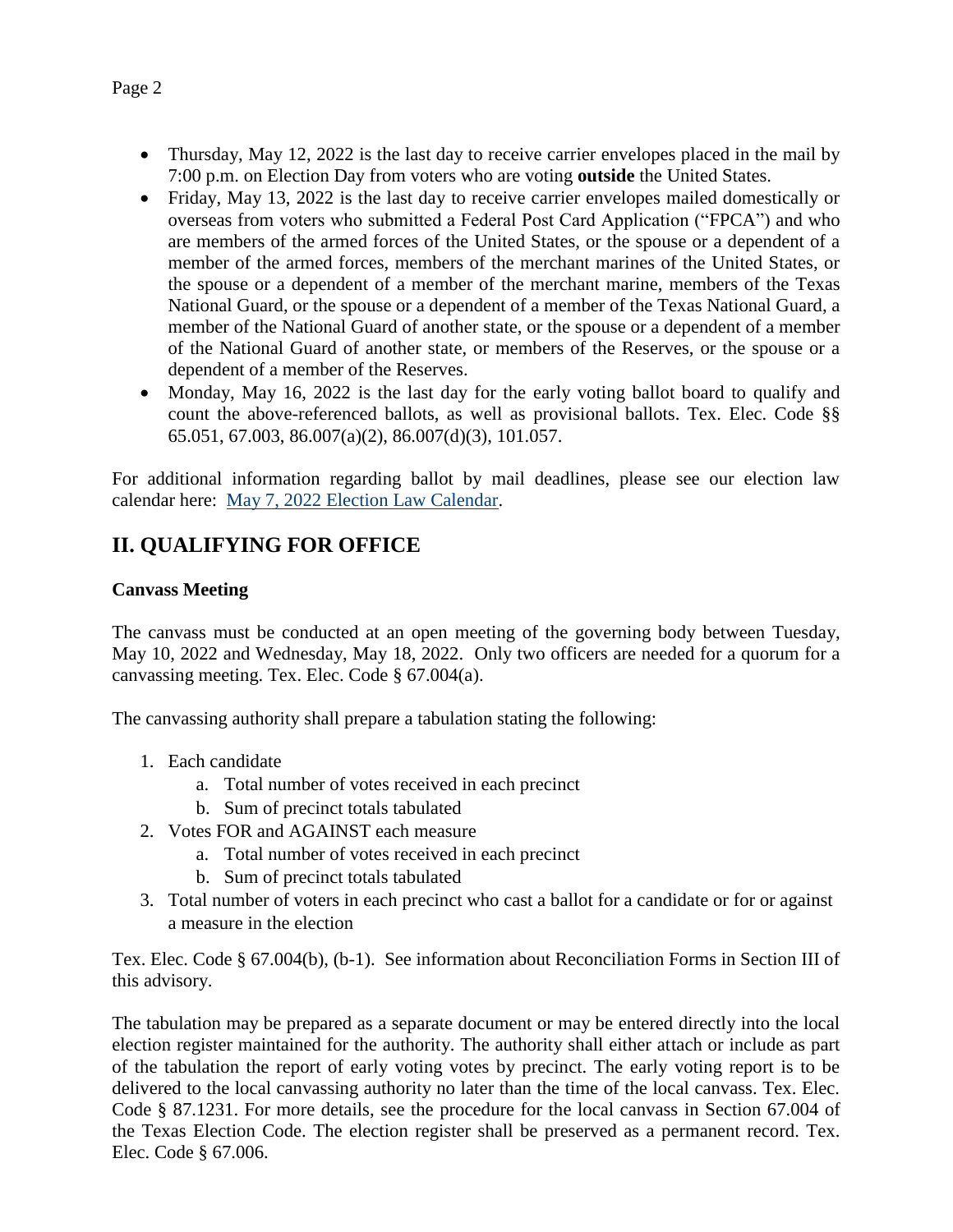- Thursday, May 12, 2022 is the last day to receive carrier envelopes placed in the mail by 7:00 p.m. on Election Day from voters who are voting **outside** the United States.
- Friday, May 13, 2022 is the last day to receive carrier envelopes mailed domestically or overseas from voters who submitted a Federal Post Card Application ("FPCA") and who are members of the armed forces of the United States, or the spouse or a dependent of a member of the armed forces, members of the merchant marines of the United States, or the spouse or a dependent of a member of the merchant marine, members of the Texas National Guard, or the spouse or a dependent of a member of the Texas National Guard, a member of the National Guard of another state, or the spouse or a dependent of a member of the National Guard of another state, or members of the Reserves, or the spouse or a dependent of a member of the Reserves.
- Monday, May 16, 2022 is the last day for the early voting ballot board to qualify and count the above-referenced ballots, as well as provisional ballots. Tex. Elec. Code §§ 65.051, 67.003, 86.007(a)(2), 86.007(d)(3), 101.057.

For additional information regarding ballot by mail deadlines, please see our election law calendar here: [May 7, 2022 Election Law Calendar.](https://www.sos.state.tx.us/elections/laws/advisory2021-23.shtml)

# **II. QUALIFYING FOR OFFICE**

#### **Canvass Meeting**

The canvass must be conducted at an open meeting of the governing body between Tuesday, May 10, 2022 and Wednesday, May 18, 2022. Only two officers are needed for a quorum for a canvassing meeting. Tex. Elec. Code § 67.004(a).

The canvassing authority shall prepare a tabulation stating the following:

- 1. Each candidate
	- a. Total number of votes received in each precinct
	- b. Sum of precinct totals tabulated
- 2. Votes FOR and AGAINST each measure
	- a. Total number of votes received in each precinct
	- b. Sum of precinct totals tabulated
- 3. Total number of voters in each precinct who cast a ballot for a candidate or for or against a measure in the election

Tex. Elec. Code § 67.004(b), (b-1). See information about Reconciliation Forms in Section III of this advisory.

The tabulation may be prepared as a separate document or may be entered directly into the local election register maintained for the authority. The authority shall either attach or include as part of the tabulation the report of early voting votes by precinct. The early voting report is to be delivered to the local canvassing authority no later than the time of the local canvass. Tex. Elec. Code § 87.1231. For more details, see the procedure for the local canvass in Section 67.004 of the Texas Election Code. The election register shall be preserved as a permanent record. Tex. Elec. Code § 67.006.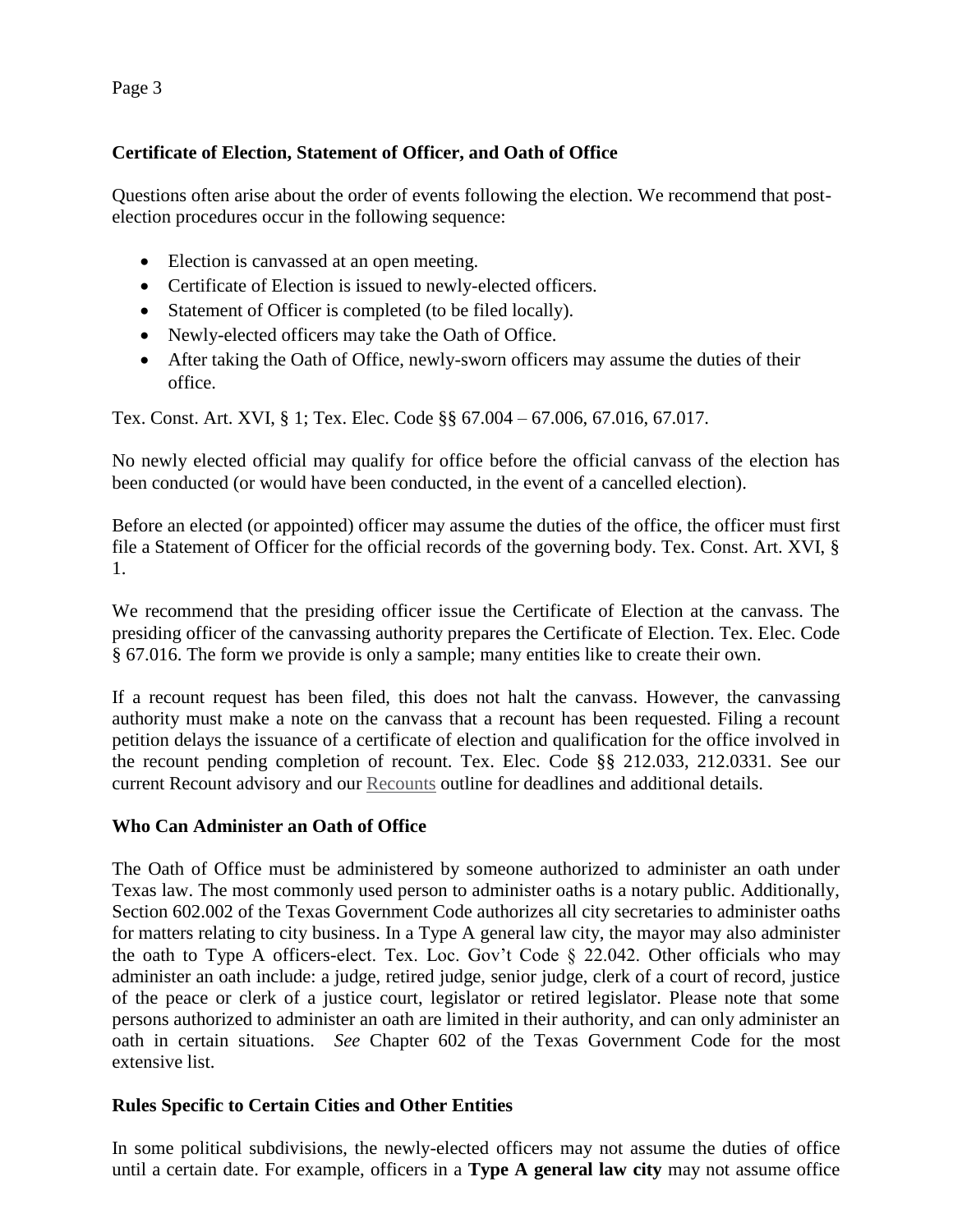Page 3

#### **Certificate of Election, Statement of Officer, and Oath of Office**

Questions often arise about the order of events following the election. We recommend that postelection procedures occur in the following sequence:

- Election is canvassed at an open meeting.
- Certificate of Election is issued to newly-elected officers.
- Statement of Officer is completed (to be filed locally).
- Newly-elected officers may take the Oath of Office.
- After taking the Oath of Office, newly-sworn officers may assume the duties of their office.

Tex. Const. Art. XVI, § 1; Tex. Elec. Code §§ 67.004 – 67.006, 67.016, 67.017.

No newly elected official may qualify for office before the official canvass of the election has been conducted (or would have been conducted, in the event of a cancelled election).

Before an elected (or appointed) officer may assume the duties of the office, the officer must first file a Statement of Officer for the official records of the governing body. Tex. Const. Art. XVI, § 1.

We recommend that the presiding officer issue the Certificate of Election at the canvass. The presiding officer of the canvassing authority prepares the Certificate of Election. Tex. Elec. Code § 67.016. The form we provide is only a sample; many entities like to create their own.

If a recount request has been filed, this does not halt the canvass. However, the canvassing authority must make a note on the canvass that a recount has been requested. Filing a recount petition delays the issuance of a certificate of election and qualification for the office involved in the recount pending completion of recount. Tex. Elec. Code §§ 212.033, 212.0331. See our current Recount advisory and our [Recounts](https://www.sos.texas.gov/elections/laws/recounts.shtml) outline for deadlines and additional details.

#### **Who Can Administer an Oath of Office**

The Oath of Office must be administered by someone authorized to administer an oath under Texas law. The most commonly used person to administer oaths is a notary public. Additionally, Section 602.002 of the Texas Government Code authorizes all city secretaries to administer oaths for matters relating to city business. In a Type A general law city, the mayor may also administer the oath to Type A officers-elect. Tex. Loc. Gov't Code § 22.042. Other officials who may administer an oath include: a judge, retired judge, senior judge, clerk of a court of record, justice of the peace or clerk of a justice court, legislator or retired legislator. Please note that some persons authorized to administer an oath are limited in their authority, and can only administer an oath in certain situations. *See* Chapter 602 of the Texas Government Code for the most extensive list.

#### **Rules Specific to Certain Cities and Other Entities**

In some political subdivisions, the newly-elected officers may not assume the duties of office until a certain date. For example, officers in a **Type A general law city** may not assume office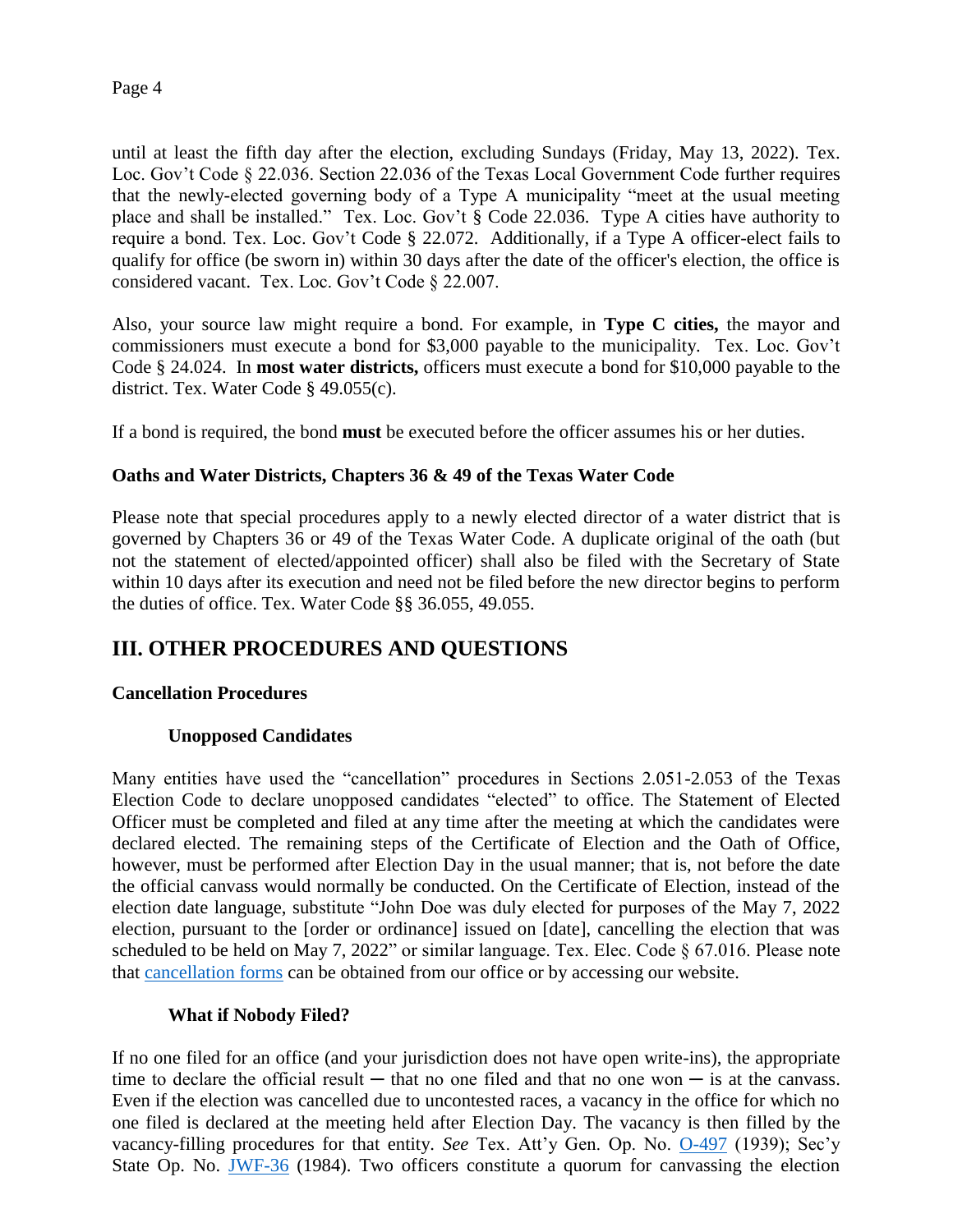until at least the fifth day after the election, excluding Sundays (Friday, May 13, 2022). Tex. Loc. Gov't Code § 22.036. Section 22.036 of the Texas Local Government Code further requires that the newly-elected governing body of a Type A municipality "meet at the usual meeting place and shall be installed." Tex. Loc. Gov't § Code 22.036. Type A cities have authority to require a bond. Tex. Loc. Gov't Code § 22.072. Additionally, if a Type A officer-elect fails to qualify for office (be sworn in) within 30 days after the date of the officer's election, the office is considered vacant. Tex. Loc. Gov't Code § 22.007.

Also, your source law might require a bond. For example, in **Type C cities,** the mayor and commissioners must execute a bond for \$3,000 payable to the municipality. Tex. Loc. Gov't Code § 24.024. In **most water districts,** officers must execute a bond for \$10,000 payable to the district. Tex. Water Code § 49.055(c).

If a bond is required, the bond **must** be executed before the officer assumes his or her duties.

#### **Oaths and Water Districts, Chapters 36 & 49 of the Texas Water Code**

Please note that special procedures apply to a newly elected director of a water district that is governed by Chapters 36 or 49 of the Texas Water Code. A duplicate original of the oath (but not the statement of elected/appointed officer) shall also be filed with the Secretary of State within 10 days after its execution and need not be filed before the new director begins to perform the duties of office. Tex. Water Code §§ 36.055, 49.055.

## **III. OTHER PROCEDURES AND QUESTIONS**

#### **Cancellation Procedures**

#### **Unopposed Candidates**

Many entities have used the "cancellation" procedures in Sections 2.051-2.053 of the Texas Election Code to declare unopposed candidates "elected" to office. The Statement of Elected Officer must be completed and filed at any time after the meeting at which the candidates were declared elected. The remaining steps of the Certificate of Election and the Oath of Office, however, must be performed after Election Day in the usual manner; that is, not before the date the official canvass would normally be conducted. On the Certificate of Election, instead of the election date language, substitute "John Doe was duly elected for purposes of the May 7, 2022 election, pursuant to the [order or ordinance] issued on [date], cancelling the election that was scheduled to be held on May 7, 2022" or similar language. Tex. Elec. Code § 67.016. Please note that [cancellation forms](https://www.sos.state.tx.us/elections/forms/pol-sub/index.shtml#chapter-11) can be obtained from our office or by accessing our website.

#### **What if Nobody Filed?**

If no one filed for an office (and your jurisdiction does not have open write-ins), the appropriate time to declare the official result — that no one filed and that no one won — is at the canvass. Even if the election was cancelled due to uncontested races, a vacancy in the office for which no one filed is declared at the meeting held after Election Day. The vacancy is then filled by the vacancy-filling procedures for that entity. *See* Tex. Att'y Gen. Op. No. [O-497](https://www.texasattorneygeneral.gov/sites/default/files/opinion-files/opinion/1939/gm0497.pdf) (1939); Sec'y State Op. No. [JWF-36](http://www.sos.texas.gov/elections/elo/jwf36.pdf) (1984). Two officers constitute a quorum for canvassing the election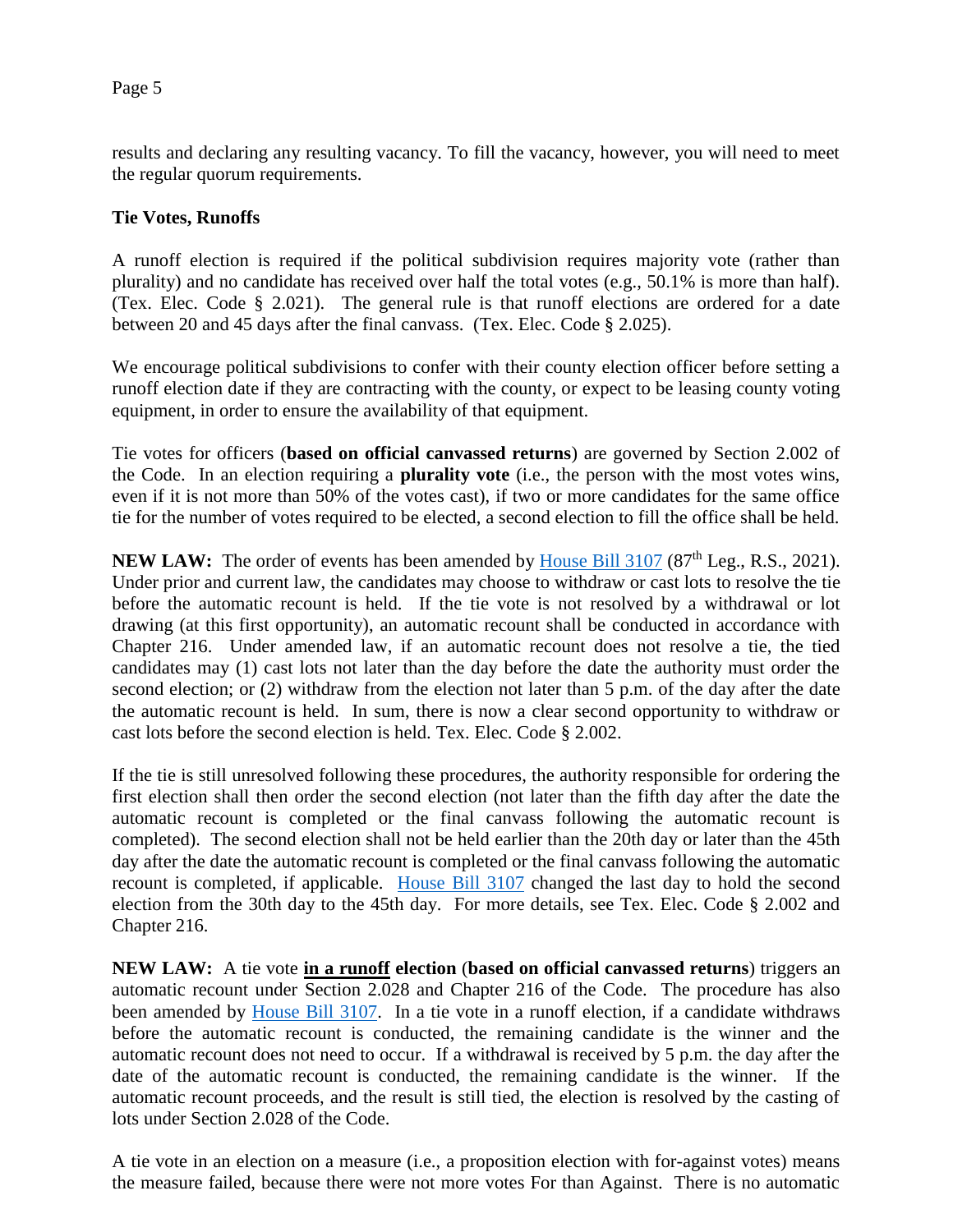results and declaring any resulting vacancy. To fill the vacancy, however, you will need to meet the regular quorum requirements.

#### **Tie Votes, Runoffs**

A runoff election is required if the political subdivision requires majority vote (rather than plurality) and no candidate has received over half the total votes (e.g., 50.1% is more than half). (Tex. Elec. Code § 2.021). The general rule is that runoff elections are ordered for a date between 20 and 45 days after the final canvass. (Tex. Elec. Code § 2.025).

We encourage political subdivisions to confer with their county election officer before setting a runoff election date if they are contracting with the county, or expect to be leasing county voting equipment, in order to ensure the availability of that equipment.

Tie votes for officers (**based on official canvassed returns**) are governed by Section 2.002 of the Code. In an election requiring a **plurality vote** (i.e., the person with the most votes wins, even if it is not more than 50% of the votes cast), if two or more candidates for the same office tie for the number of votes required to be elected, a second election to fill the office shall be held.

**NEW LAW:** The order of events has been amended by [House Bill 3107](https://capitol.texas.gov/BillLookup/Text.aspx?LegSess=87R&Bill=HB3107) (87<sup>th</sup> Leg., R.S., 2021). Under prior and current law, the candidates may choose to withdraw or cast lots to resolve the tie before the automatic recount is held. If the tie vote is not resolved by a withdrawal or lot drawing (at this first opportunity), an automatic recount shall be conducted in accordance with Chapter 216. Under amended law, if an automatic recount does not resolve a tie, the tied candidates may (1) cast lots not later than the day before the date the authority must order the second election; or (2) withdraw from the election not later than 5 p.m. of the day after the date the automatic recount is held. In sum, there is now a clear second opportunity to withdraw or cast lots before the second election is held. Tex. Elec. Code § 2.002.

If the tie is still unresolved following these procedures, the authority responsible for ordering the first election shall then order the second election (not later than the fifth day after the date the automatic recount is completed or the final canvass following the automatic recount is completed). The second election shall not be held earlier than the 20th day or later than the 45th day after the date the automatic recount is completed or the final canvass following the automatic recount is completed, if applicable. [House Bill 3107](https://capitol.texas.gov/tlodocs/87R/billtext/html/HB03107F.html) changed the last day to hold the second election from the 30th day to the 45th day. For more details, see Tex. Elec. Code § 2.002 and Chapter 216.

**NEW LAW:** A tie vote **in a runoff election** (**based on official canvassed returns**) triggers an automatic recount under Section 2.028 and Chapter 216 of the Code. The procedure has also been amended by [House Bill 3107.](https://capitol.texas.gov/tlodocs/87R/billtext/html/HB03107F.html) In a tie vote in a runoff election, if a candidate withdraws before the automatic recount is conducted, the remaining candidate is the winner and the automatic recount does not need to occur. If a withdrawal is received by 5 p.m. the day after the date of the automatic recount is conducted, the remaining candidate is the winner. If the automatic recount proceeds, and the result is still tied, the election is resolved by the casting of lots under Section 2.028 of the Code.

A tie vote in an election on a measure (i.e., a proposition election with for-against votes) means the measure failed, because there were not more votes For than Against. There is no automatic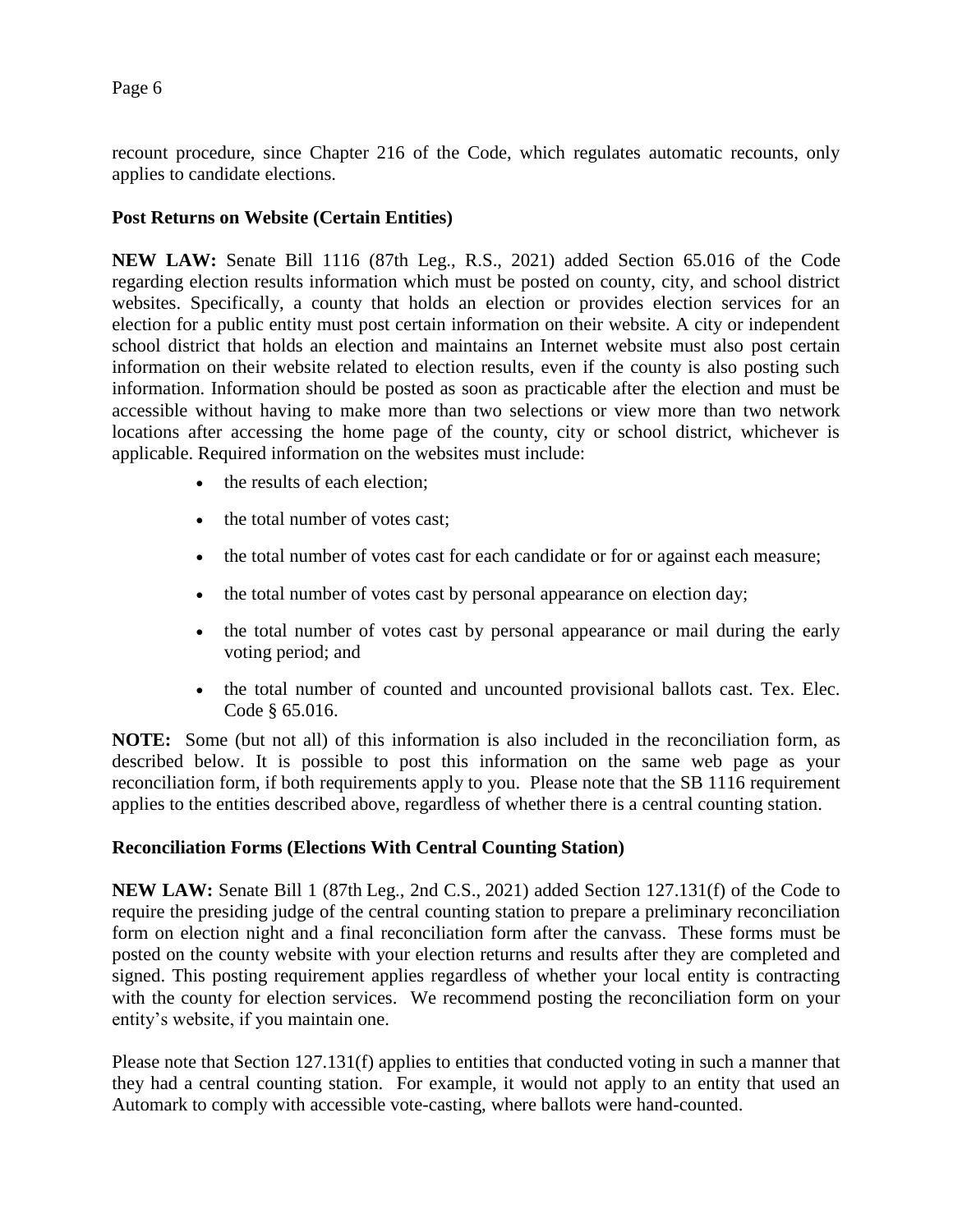recount procedure, since Chapter 216 of the Code, which regulates automatic recounts, only applies to candidate elections.

#### **Post Returns on Website (Certain Entities)**

**NEW LAW:** Senate Bill 1116 (87th Leg., R.S., 2021) added Section 65.016 of the Code regarding election results information which must be posted on county, city, and school district websites. Specifically, a county that holds an election or provides election services for an election for a public entity must post certain information on their website. A city or independent school district that holds an election and maintains an Internet website must also post certain information on their website related to election results, even if the county is also posting such information. Information should be posted as soon as practicable after the election and must be accessible without having to make more than two selections or view more than two network locations after accessing the home page of the county, city or school district, whichever is applicable. Required information on the websites must include:

- the results of each election:
- the total number of votes cast;
- the total number of votes cast for each candidate or for or against each measure;
- the total number of votes cast by personal appearance on election day;
- the total number of votes cast by personal appearance or mail during the early voting period; and
- the total number of counted and uncounted provisional ballots cast. Tex. Elec. Code § 65.016.

**NOTE:** Some (but not all) of this information is also included in the reconciliation form, as described below. It is possible to post this information on the same web page as your reconciliation form, if both requirements apply to you. Please note that the SB 1116 requirement applies to the entities described above, regardless of whether there is a central counting station.

#### **Reconciliation Forms (Elections With Central Counting Station)**

**NEW LAW:** Senate Bill 1 (87th Leg., 2nd C.S., 2021) added Section 127.131(f) of the Code to require the presiding judge of the central counting station to prepare a preliminary reconciliation form on election night and a final reconciliation form after the canvass. These forms must be posted on the county website with your election returns and results after they are completed and signed. This posting requirement applies regardless of whether your local entity is contracting with the county for election services. We recommend posting the reconciliation form on your entity's website, if you maintain one.

Please note that Section 127.131(f) applies to entities that conducted voting in such a manner that they had a central counting station. For example, it would not apply to an entity that used an Automark to comply with accessible vote-casting, where ballots were hand-counted.